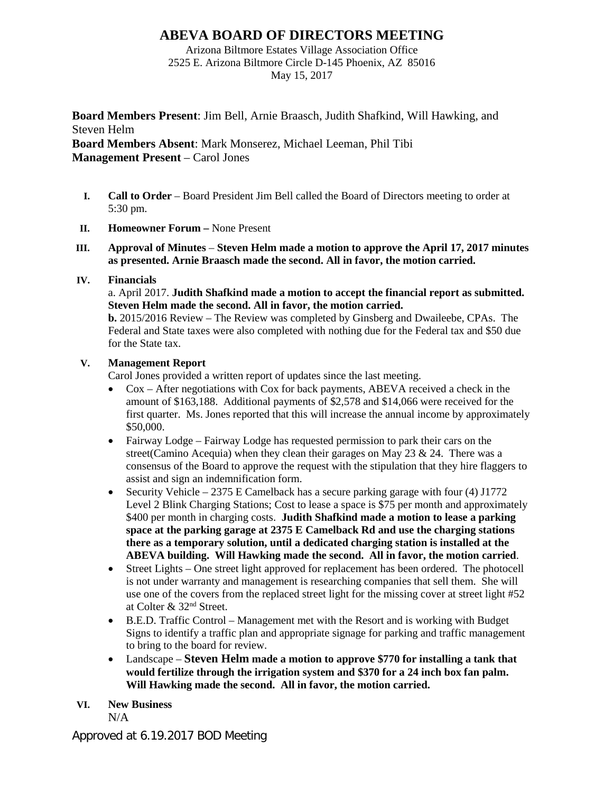# **ABEVA BOARD OF DIRECTORS MEETING**

Arizona Biltmore Estates Village Association Office 2525 E. Arizona Biltmore Circle D-145 Phoenix, AZ 85016 May 15, 2017

**Board Members Present**: Jim Bell, Arnie Braasch, Judith Shafkind, Will Hawking, and Steven Helm **Board Members Absent**: Mark Monserez, Michael Leeman, Phil Tibi **Management Present** – Carol Jones

- **I. Call to Order** Board President Jim Bell called the Board of Directors meeting to order at 5:30 pm.
- **II. Homeowner Forum –** None Present
- **III. Approval of Minutes Steven Helm made a motion to approve the April 17, 2017 minutes as presented. Arnie Braasch made the second. All in favor, the motion carried.**

## **IV. Financials**

a. April 2017. **Judith Shafkind made a motion to accept the financial report as submitted. Steven Helm made the second. All in favor, the motion carried.** 

**b.** 2015/2016 Review – The Review was completed by Ginsberg and Dwaileebe, CPAs. The Federal and State taxes were also completed with nothing due for the Federal tax and \$50 due for the State tax.

# **V. Management Report**

Carol Jones provided a written report of updates since the last meeting.

- Cox After negotiations with Cox for back payments, ABEVA received a check in the amount of \$163,188. Additional payments of \$2,578 and \$14,066 were received for the first quarter. Ms. Jones reported that this will increase the annual income by approximately \$50,000.
- Fairway Lodge Fairway Lodge has requested permission to park their cars on the street(Camino Acequia) when they clean their garages on May 23  $\&$  24. There was a consensus of the Board to approve the request with the stipulation that they hire flaggers to assist and sign an indemnification form.
- Security Vehicle 2375 E Camelback has a secure parking garage with four (4) J1772 Level 2 Blink Charging Stations; Cost to lease a space is \$75 per month and approximately \$400 per month in charging costs. **Judith Shafkind made a motion to lease a parking space at the parking garage at 2375 E Camelback Rd and use the charging stations there as a temporary solution, until a dedicated charging station is installed at the ABEVA building. Will Hawking made the second. All in favor, the motion carried**.
- Street Lights One street light approved for replacement has been ordered. The photocell is not under warranty and management is researching companies that sell them. She will use one of the covers from the replaced street light for the missing cover at street light #52 at Colter & 32nd Street.
- B.E.D. Traffic Control Management met with the Resort and is working with Budget Signs to identify a traffic plan and appropriate signage for parking and traffic management to bring to the board for review.
- Landscape **Steven Helm made a motion to approve \$770 for installing a tank that would fertilize through the irrigation system and \$370 for a 24 inch box fan palm. Will Hawking made the second. All in favor, the motion carried.**

# **VI. New Business**

 $N/A$